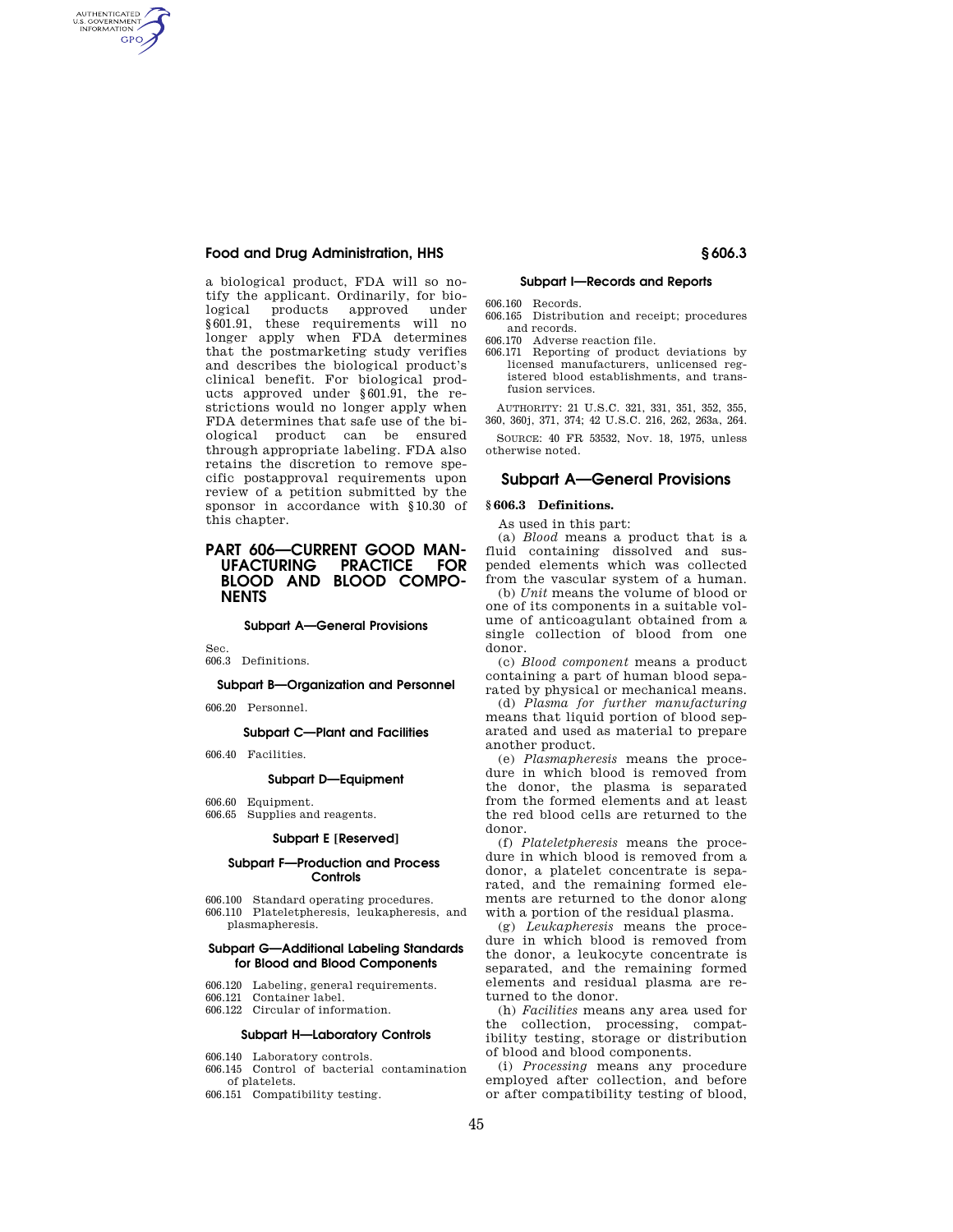a biological product, FDA will so notify the applicant. Ordinarily, for biological products approved under §601.91, these requirements will no longer apply when FDA determines that the postmarketing study verifies and describes the biological product's clinical benefit. For biological products approved under §601.91, the restrictions would no longer apply when FDA determines that safe use of the biological product can be ensured through appropriate labeling. FDA also retains the discretion to remove specific postapproval requirements upon review of a petition submitted by the sponsor in accordance with §10.30 of this chapter.

# **PART 606-CURRENT GOOD MAN-<br>UFACTURING PRACTICE FOR PRACTICE FOR BLOOD AND BLOOD COMPO-NENTS**

#### **Subpart A—General Provisions**

Sec.

AUTHENTICATED<br>U.S. GOVERNMENT<br>INFORMATION **GPO** 

# 606.3 Definitions.

## **Subpart B—Organization and Personnel**

606.20 Personnel.

## **Subpart C—Plant and Facilities**

606.40 Facilities.

## **Subpart D—Equipment**

606.60 Equipment.

# 606.65 Supplies and reagents.

## **Subpart E [Reserved]**

## **Subpart F—Production and Process Controls**

- 606.100 Standard operating procedures.
- 606.110 Plateletpheresis, leukapheresis, and plasmapheresis.

## **Subpart G—Additional Labeling Standards for Blood and Blood Components**

- 606.120 Labeling, general requirements.
- 606.121 Container label.
- 606.122 Circular of information.

# **Subpart H—Laboratory Controls**

- 606.140 Laboratory controls.
- 606.145 Control of bacterial contamination of platelets.
- 606.151 Compatibility testing.

## **Subpart I—Records and Reports**

- 606.160 Records.
- 606.165 Distribution and receipt; procedures and records.
- 606.170 Adverse reaction file.
- 606.171 Reporting of product deviations by licensed manufacturers, unlicensed registered blood establishments, and transfusion services.

AUTHORITY: 21 U.S.C. 321, 331, 351, 352, 355, 360, 360j, 371, 374; 42 U.S.C. 216, 262, 263a, 264.

SOURCE: 40 FR 53532, Nov. 18, 1975, unless otherwise noted.

## **Subpart A—General Provisions**

## **§ 606.3 Definitions.**

As used in this part:

(a) *Blood* means a product that is a fluid containing dissolved and suspended elements which was collected from the vascular system of a human.

(b) *Unit* means the volume of blood or one of its components in a suitable volume of anticoagulant obtained from a single collection of blood from one donor.

(c) *Blood component* means a product containing a part of human blood separated by physical or mechanical means.

(d) *Plasma for further manufacturing*  means that liquid portion of blood separated and used as material to prepare another product.

(e) *Plasmapheresis* means the procedure in which blood is removed from the donor, the plasma is separated from the formed elements and at least the red blood cells are returned to the donor.

(f) *Plateletpheresis* means the procedure in which blood is removed from a donor, a platelet concentrate is separated, and the remaining formed elements are returned to the donor along with a portion of the residual plasma.

(g) *Leukapheresis* means the procedure in which blood is removed from the donor, a leukocyte concentrate is separated, and the remaining formed elements and residual plasma are returned to the donor.

(h) *Facilities* means any area used for the collection, processing, compatibility testing, storage or distribution of blood and blood components.

(i) *Processing* means any procedure employed after collection, and before or after compatibility testing of blood,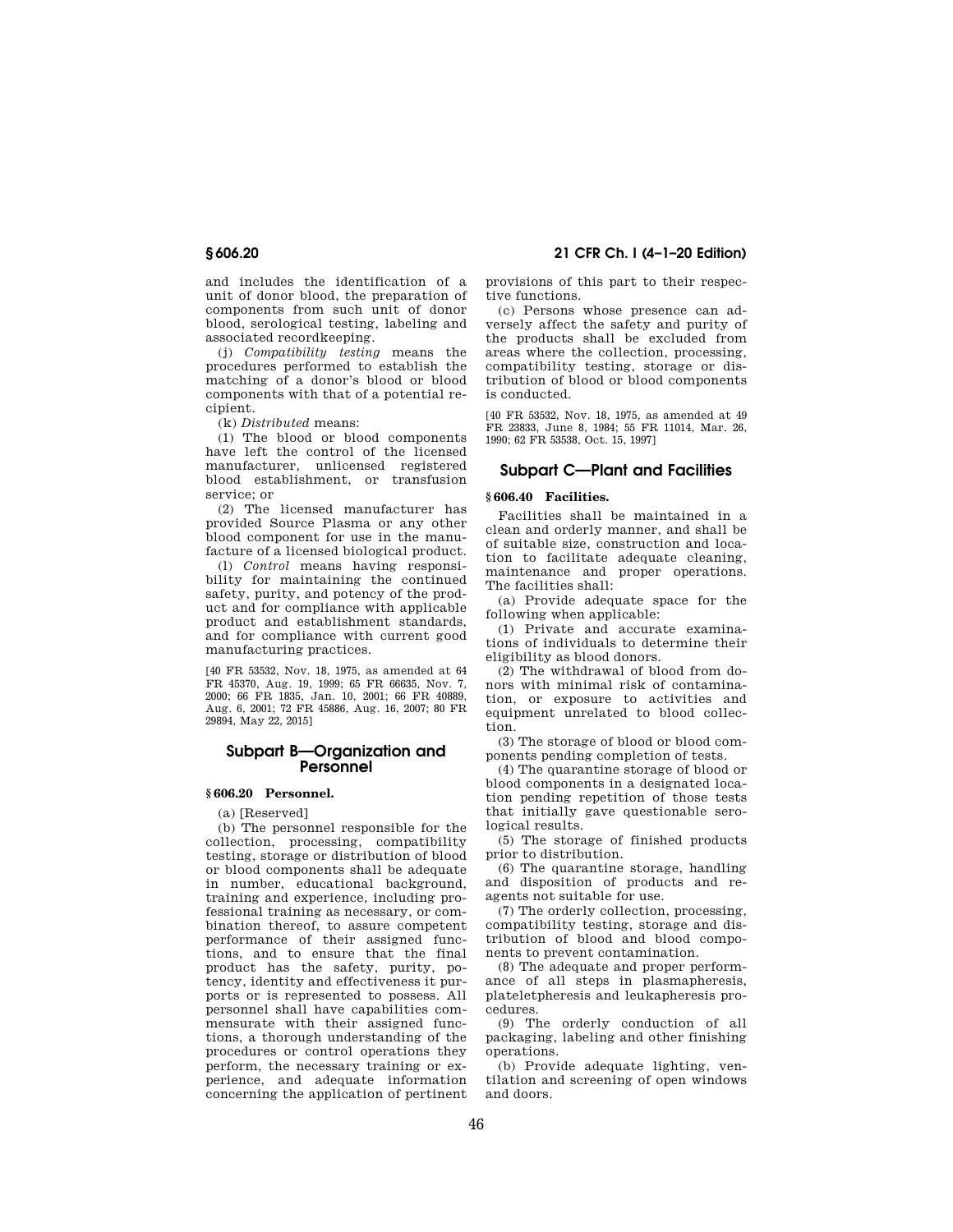and includes the identification of a unit of donor blood, the preparation of components from such unit of donor blood, serological testing, labeling and associated recordkeeping.

(j) *Compatibility testing* means the procedures performed to establish the matching of a donor's blood or blood components with that of a potential recipient.

(k) *Distributed* means:

(1) The blood or blood components have left the control of the licensed manufacturer, unlicensed registered blood establishment, or transfusion service; or

(2) The licensed manufacturer has provided Source Plasma or any other blood component for use in the manufacture of a licensed biological product.

(l) *Control* means having responsibility for maintaining the continued safety, purity, and potency of the product and for compliance with applicable product and establishment standards, and for compliance with current good manufacturing practices.

[40 FR 53532, Nov. 18, 1975, as amended at 64 FR 45370, Aug. 19, 1999; 65 FR 66635, Nov. 7, 2000; 66 FR 1835, Jan. 10, 2001; 66 FR 40889, Aug. 6, 2001; 72 FR 45886, Aug. 16, 2007; 80 FR 29894, May 22, 2015]

# **Subpart B—Organization and Personnel**

# **§ 606.20 Personnel.**

(a) [Reserved]

(b) The personnel responsible for the collection, processing, compatibility testing, storage or distribution of blood or blood components shall be adequate in number, educational background, training and experience, including professional training as necessary, or combination thereof, to assure competent performance of their assigned functions, and to ensure that the final product has the safety, purity, potency, identity and effectiveness it purports or is represented to possess. All personnel shall have capabilities commensurate with their assigned functions, a thorough understanding of the procedures or control operations they perform, the necessary training or experience, and adequate information concerning the application of pertinent

**§ 606.20 21 CFR Ch. I (4–1–20 Edition)** 

provisions of this part to their respective functions.

(c) Persons whose presence can adversely affect the safety and purity of the products shall be excluded from areas where the collection, processing, compatibility testing, storage or distribution of blood or blood components is conducted.

[40 FR 53532, Nov. 18, 1975, as amended at 49 FR 23833, June 8, 1984; 55 FR 11014, Mar. 26, 1990; 62 FR 53538, Oct. 15, 1997]

# **Subpart C—Plant and Facilities**

# **§ 606.40 Facilities.**

Facilities shall be maintained in a clean and orderly manner, and shall be of suitable size, construction and location to facilitate adequate cleaning, maintenance and proper operations. The facilities shall:

(a) Provide adequate space for the following when applicable:

(1) Private and accurate examinations of individuals to determine their eligibility as blood donors.

(2) The withdrawal of blood from donors with minimal risk of contamination, or exposure to activities and equipment unrelated to blood collection.

(3) The storage of blood or blood components pending completion of tests.

(4) The quarantine storage of blood or blood components in a designated location pending repetition of those tests that initially gave questionable serological results.

(5) The storage of finished products prior to distribution.

(6) The quarantine storage, handling and disposition of products and reagents not suitable for use.

(7) The orderly collection, processing, compatibility testing, storage and distribution of blood and blood components to prevent contamination.

(8) The adequate and proper performance of all steps in plasmapheresis, plateletpheresis and leukapheresis procedures.

(9) The orderly conduction of all packaging, labeling and other finishing operations.

(b) Provide adequate lighting, ventilation and screening of open windows and doors.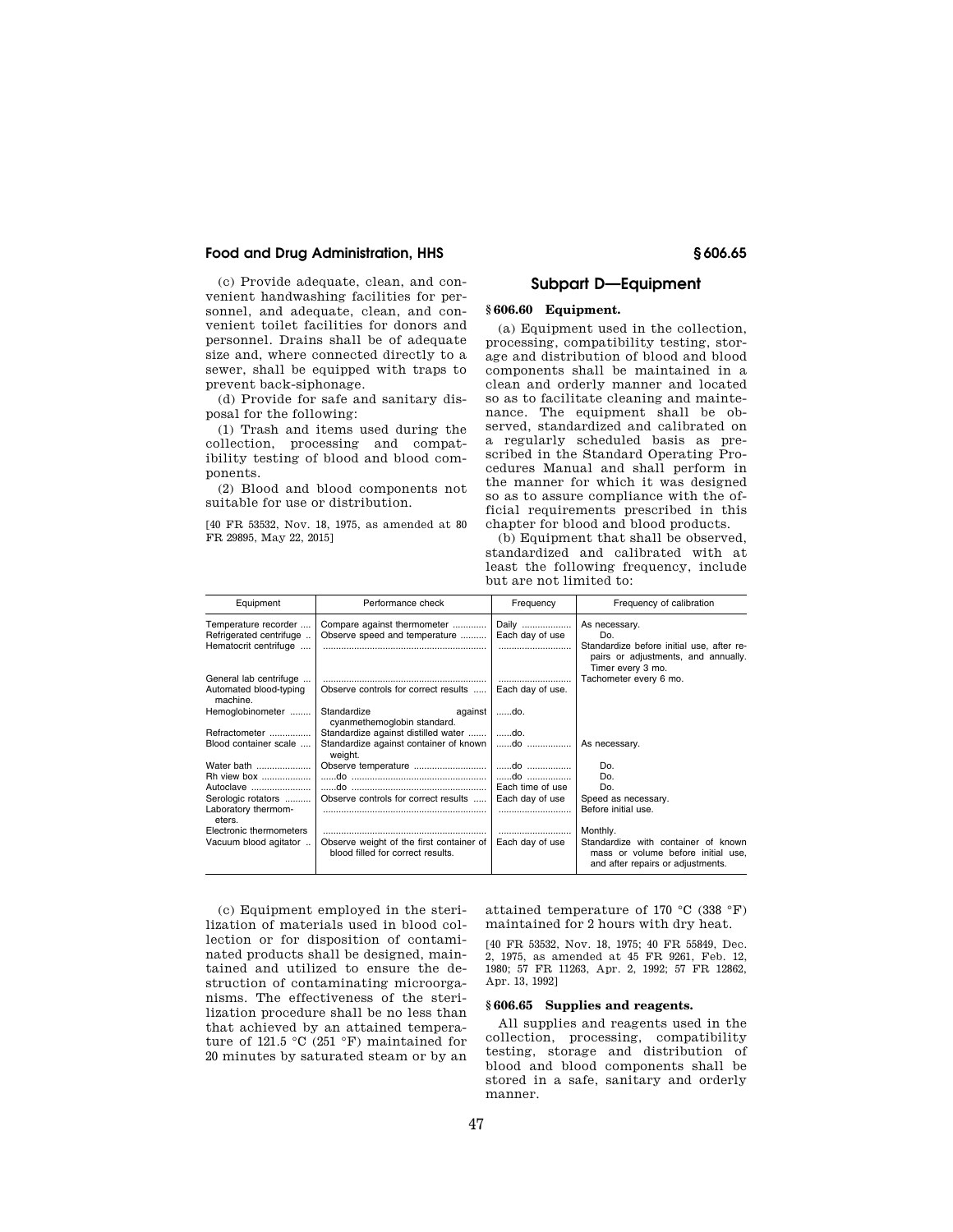(c) Provide adequate, clean, and convenient handwashing facilities for personnel, and adequate, clean, and convenient toilet facilities for donors and personnel. Drains shall be of adequate size and, where connected directly to a sewer, shall be equipped with traps to prevent back-siphonage.

(d) Provide for safe and sanitary disposal for the following:

(1) Trash and items used during the collection, processing and compatibility testing of blood and blood components.

(2) Blood and blood components not suitable for use or distribution.

[40 FR 53532, Nov. 18, 1975, as amended at 80 FR 29895, May 22, 2015]

# **Subpart D—Equipment**

# **§ 606.60 Equipment.**

(a) Equipment used in the collection, processing, compatibility testing, storage and distribution of blood and blood components shall be maintained in a clean and orderly manner and located so as to facilitate cleaning and maintenance. The equipment shall be observed, standardized and calibrated on a regularly scheduled basis as prescribed in the Standard Operating Procedures Manual and shall perform in the manner for which it was designed so as to assure compliance with the official requirements prescribed in this chapter for blood and blood products.

(b) Equipment that shall be observed, standardized and calibrated with at least the following frequency, include but are not limited to:

| Equipment                                                                | Performance check                                                             | Frequency                | Frequency of calibration                                                                                                      |
|--------------------------------------------------------------------------|-------------------------------------------------------------------------------|--------------------------|-------------------------------------------------------------------------------------------------------------------------------|
| Temperature recorder<br>Refrigerated centrifuge<br>Hematocrit centrifuge | Compare against thermometer<br>Observe speed and temperature                  | Daily<br>Each day of use | As necessary.<br>Do.<br>Standardize before initial use, after re-<br>pairs or adjustments, and annually.<br>Timer every 3 mo. |
| General lab centrifuge                                                   |                                                                               |                          | Tachometer every 6 mo.                                                                                                        |
| Automated blood-typing<br>machine.                                       | Observe controls for correct results                                          | Each day of use.         |                                                                                                                               |
| Hemoglobinometer                                                         | Standardize<br>against<br>cyanmethemoglobin standard.                         | do.                      |                                                                                                                               |
| Refractometer                                                            | Standardize against distilled water                                           | ……do.                    |                                                                                                                               |
| Blood container scale                                                    | Standardize against container of known<br>weight.                             | do                       | As necessary.                                                                                                                 |
| Water bath                                                               | Observe temperature                                                           | do                       | Do.                                                                                                                           |
| Rh view box                                                              |                                                                               | do                       | Do.                                                                                                                           |
| Autoclave                                                                |                                                                               | Each time of use         | Do.                                                                                                                           |
| Serologic rotators                                                       | Observe controls for correct results                                          | Each day of use          | Speed as necessary.                                                                                                           |
| Laboratory thermom-<br>eters.                                            |                                                                               |                          | Before initial use.                                                                                                           |
| Electronic thermometers                                                  |                                                                               |                          | Monthly.                                                                                                                      |
| Vacuum blood agitator                                                    | Observe weight of the first container of<br>blood filled for correct results. | Each day of use          | Standardize with container of known<br>mass or volume before initial use,<br>and after repairs or adjustments.                |

(c) Equipment employed in the sterilization of materials used in blood collection or for disposition of contaminated products shall be designed, maintained and utilized to ensure the destruction of contaminating microorganisms. The effectiveness of the sterilization procedure shall be no less than that achieved by an attained temperature of 121.5 °C (251 °F) maintained for 20 minutes by saturated steam or by an attained temperature of 170 °C (338 °F) maintained for 2 hours with dry heat.

[40 FR 53532, Nov. 18, 1975; 40 FR 55849, Dec. 2, 1975, as amended at 45 FR 9261, Feb. 12, 1980; 57 FR 11263, Apr. 2, 1992; 57 FR 12862, Apr. 13, 1992]

### **§ 606.65 Supplies and reagents.**

All supplies and reagents used in the collection, processing, compatibility testing, storage and distribution of blood and blood components shall be stored in a safe, sanitary and orderly manner.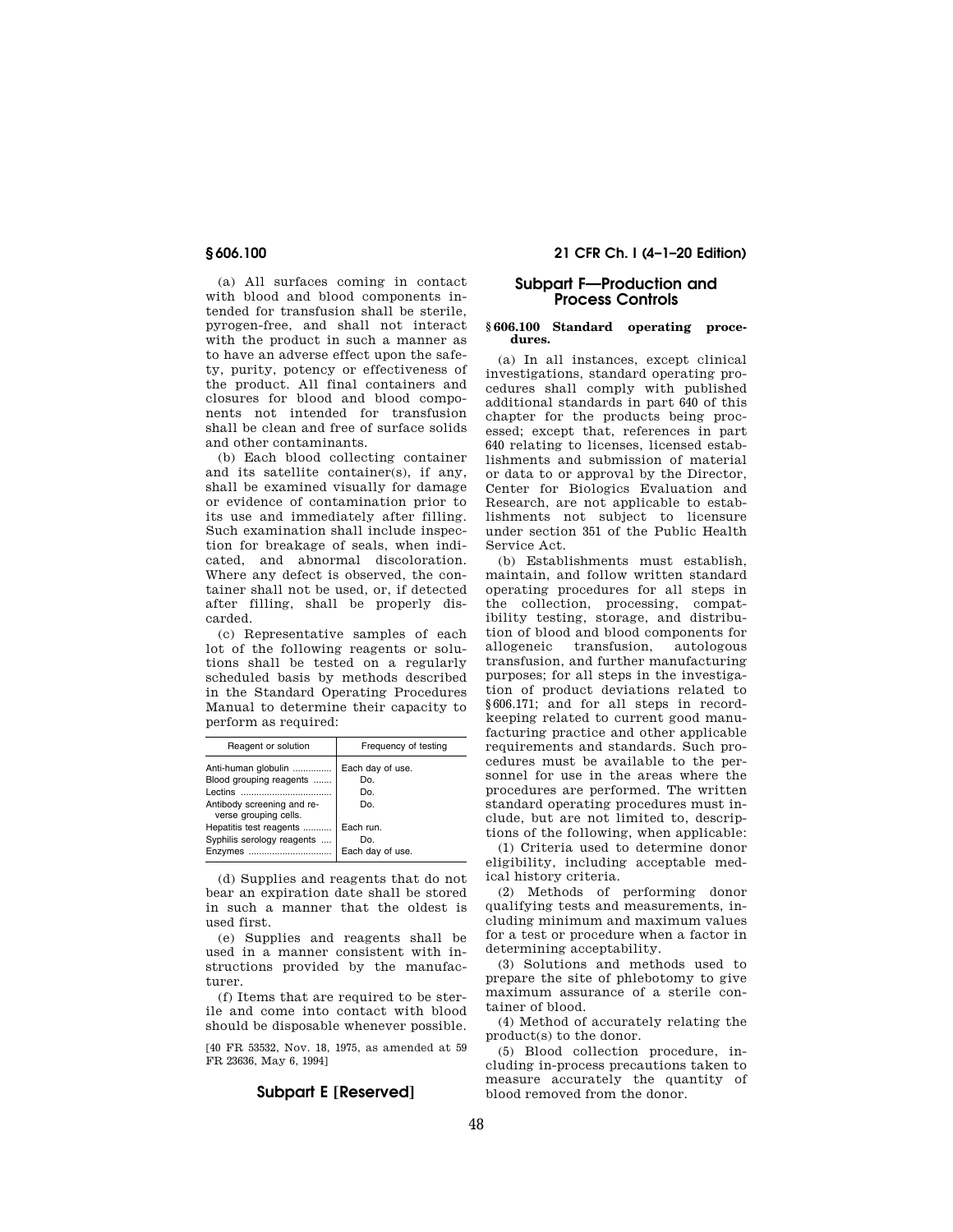(a) All surfaces coming in contact with blood and blood components intended for transfusion shall be sterile, pyrogen-free, and shall not interact with the product in such a manner as to have an adverse effect upon the safety, purity, potency or effectiveness of the product. All final containers and closures for blood and blood components not intended for transfusion shall be clean and free of surface solids and other contaminants.

(b) Each blood collecting container and its satellite container(s), if any, shall be examined visually for damage or evidence of contamination prior to its use and immediately after filling. Such examination shall include inspection for breakage of seals, when indicated, and abnormal discoloration. Where any defect is observed, the container shall not be used, or, if detected after filling, shall be properly discarded.

(c) Representative samples of each lot of the following reagents or solutions shall be tested on a regularly scheduled basis by methods described in the Standard Operating Procedures Manual to determine their capacity to perform as required:

| Reagent or solution                                 | Frequency of testing |
|-----------------------------------------------------|----------------------|
| Anti-human globulin                                 | Each day of use.     |
| Blood grouping reagents                             | Do.                  |
| Lectins. Lections                                   | Do.                  |
| Antibody screening and re-<br>verse grouping cells. | Do.                  |
| Hepatitis test reagents                             | Each run.            |
| Syphilis serology reagents                          | Do.                  |
| Enzymes                                             | Each day of use.     |

(d) Supplies and reagents that do not bear an expiration date shall be stored in such a manner that the oldest is used first.

(e) Supplies and reagents shall be used in a manner consistent with instructions provided by the manufacturer.

(f) Items that are required to be sterile and come into contact with blood should be disposable whenever possible.

[40 FR 53532, Nov. 18, 1975, as amended at 59 FR 23636, May 6, 1994]

# **Subpart E [Reserved]**

**§ 606.100 21 CFR Ch. I (4–1–20 Edition)** 

# **Subpart F—Production and Process Controls**

### **§ 606.100 Standard operating procedures.**

(a) In all instances, except clinical investigations, standard operating procedures shall comply with published additional standards in part 640 of this chapter for the products being processed; except that, references in part 640 relating to licenses, licensed establishments and submission of material or data to or approval by the Director, Center for Biologics Evaluation and Research, are not applicable to establishments not subject to licensure under section 351 of the Public Health Service Act.

(b) Establishments must establish, maintain, and follow written standard operating procedures for all steps in the collection, processing, compatibility testing, storage, and distribution of blood and blood components for allogeneic transfusion, autologous transfusion, and further manufacturing purposes; for all steps in the investigation of product deviations related to §606.171; and for all steps in recordkeeping related to current good manufacturing practice and other applicable requirements and standards. Such procedures must be available to the personnel for use in the areas where the procedures are performed. The written standard operating procedures must include, but are not limited to, descriptions of the following, when applicable:

(1) Criteria used to determine donor eligibility, including acceptable medical history criteria.

(2) Methods of performing donor qualifying tests and measurements, including minimum and maximum values for a test or procedure when a factor in determining acceptability.

(3) Solutions and methods used to prepare the site of phlebotomy to give maximum assurance of a sterile container of blood.

(4) Method of accurately relating the product(s) to the donor.

(5) Blood collection procedure, including in-process precautions taken to measure accurately the quantity of blood removed from the donor.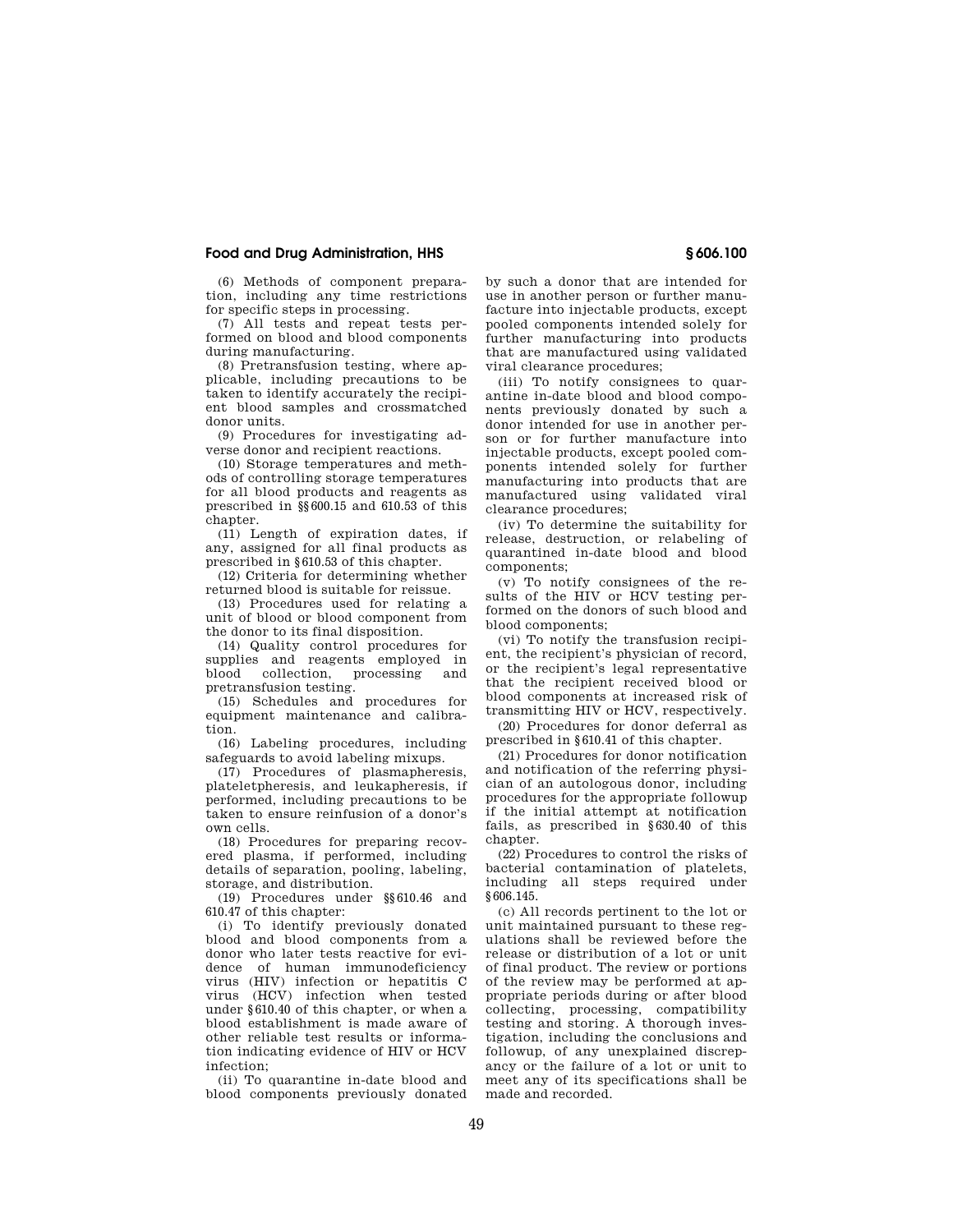(6) Methods of component preparation, including any time restrictions for specific steps in processing.

(7) All tests and repeat tests performed on blood and blood components during manufacturing.

(8) Pretransfusion testing, where applicable, including precautions to be taken to identify accurately the recipient blood samples and crossmatched donor units.

(9) Procedures for investigating adverse donor and recipient reactions.

(10) Storage temperatures and methods of controlling storage temperatures for all blood products and reagents as prescribed in §§600.15 and 610.53 of this chapter.

(11) Length of expiration dates, if any, assigned for all final products as prescribed in §610.53 of this chapter.

(12) Criteria for determining whether returned blood is suitable for reissue.

(13) Procedures used for relating a unit of blood or blood component from the donor to its final disposition.

(14) Quality control procedures for supplies and reagents employed in<br>blood collection, processing and blood collection, pretransfusion testing.

(15) Schedules and procedures for equipment maintenance and calibration.

(16) Labeling procedures, including safeguards to avoid labeling mixups.

(17) Procedures of plasmapheresis, plateletpheresis, and leukapheresis, if performed, including precautions to be taken to ensure reinfusion of a donor's own cells.

(18) Procedures for preparing recovered plasma, if performed, including details of separation, pooling, labeling, storage, and distribution.

(19) Procedures under §§610.46 and 610.47 of this chapter:

(i) To identify previously donated blood and blood components from a donor who later tests reactive for evidence of human immunodeficiency virus (HIV) infection or hepatitis C virus (HCV) infection when tested under §610.40 of this chapter, or when a blood establishment is made aware of other reliable test results or information indicating evidence of HIV or HCV infection;

(ii) To quarantine in-date blood and blood components previously donated by such a donor that are intended for use in another person or further manufacture into injectable products, except pooled components intended solely for further manufacturing into products that are manufactured using validated viral clearance procedures;

(iii) To notify consignees to quarantine in-date blood and blood components previously donated by such a donor intended for use in another person or for further manufacture into injectable products, except pooled components intended solely for further manufacturing into products that are manufactured using validated viral clearance procedures;

(iv) To determine the suitability for release, destruction, or relabeling of quarantined in-date blood and blood components;

(v) To notify consignees of the results of the HIV or HCV testing performed on the donors of such blood and blood components;

(vi) To notify the transfusion recipient, the recipient's physician of record, or the recipient's legal representative that the recipient received blood or blood components at increased risk of transmitting HIV or HCV, respectively.

(20) Procedures for donor deferral as prescribed in §610.41 of this chapter.

(21) Procedures for donor notification and notification of the referring physician of an autologous donor, including procedures for the appropriate followup if the initial attempt at notification fails, as prescribed in §630.40 of this chapter.

(22) Procedures to control the risks of bacterial contamination of platelets, including all steps required under §606.145.

(c) All records pertinent to the lot or unit maintained pursuant to these regulations shall be reviewed before the release or distribution of a lot or unit of final product. The review or portions of the review may be performed at appropriate periods during or after blood collecting, processing, compatibility testing and storing. A thorough investigation, including the conclusions and followup, of any unexplained discrepancy or the failure of a lot or unit to meet any of its specifications shall be made and recorded.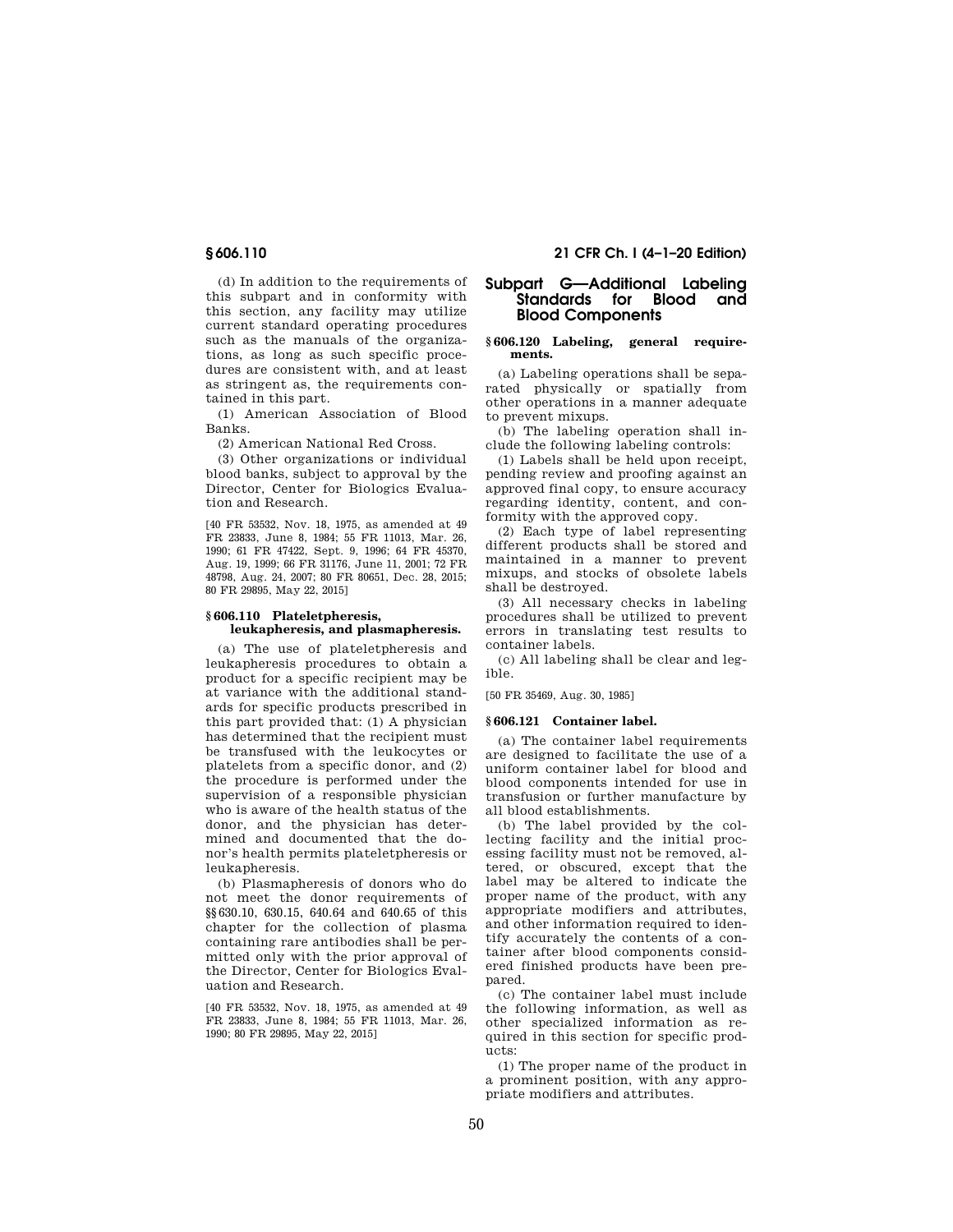(d) In addition to the requirements of this subpart and in conformity with this section, any facility may utilize current standard operating procedures such as the manuals of the organizations, as long as such specific procedures are consistent with, and at least as stringent as, the requirements contained in this part.

(1) American Association of Blood Banks.

(2) American National Red Cross.

(3) Other organizations or individual blood banks, subject to approval by the Director, Center for Biologics Evaluation and Research.

[40 FR 53532, Nov. 18, 1975, as amended at 49 FR 23833, June 8, 1984; 55 FR 11013, Mar. 26, 1990; 61 FR 47422, Sept. 9, 1996; 64 FR 45370, Aug. 19, 1999; 66 FR 31176, June 11, 2001; 72 FR 48798, Aug. 24, 2007; 80 FR 80651, Dec. 28, 2015; 80 FR 29895, May 22, 2015]

#### **§ 606.110 Plateletpheresis, leukapheresis, and plasmapheresis.**

(a) The use of plateletpheresis and leukapheresis procedures to obtain a product for a specific recipient may be at variance with the additional standards for specific products prescribed in this part provided that: (1) A physician has determined that the recipient must be transfused with the leukocytes or platelets from a specific donor, and (2) the procedure is performed under the supervision of a responsible physician who is aware of the health status of the donor, and the physician has determined and documented that the donor's health permits plateletpheresis or leukapheresis.

(b) Plasmapheresis of donors who do not meet the donor requirements of §§630.10, 630.15, 640.64 and 640.65 of this chapter for the collection of plasma containing rare antibodies shall be permitted only with the prior approval of the Director, Center for Biologics Evaluation and Research.

[40 FR 53532, Nov. 18, 1975, as amended at 49 FR 23833, June 8, 1984; 55 FR 11013, Mar. 26, 1990; 80 FR 29895, May 22, 2015]

# **§ 606.110 21 CFR Ch. I (4–1–20 Edition)**

# **Subpart G—Additional Labeling Standards for Blood and Blood Components**

## **§ 606.120 Labeling, general requirements.**

(a) Labeling operations shall be separated physically or spatially from other operations in a manner adequate to prevent mixups.

(b) The labeling operation shall include the following labeling controls:

(1) Labels shall be held upon receipt, pending review and proofing against an approved final copy, to ensure accuracy regarding identity, content, and conformity with the approved copy.

(2) Each type of label representing different products shall be stored and maintained in a manner to prevent mixups, and stocks of obsolete labels shall be destroyed.

(3) All necessary checks in labeling procedures shall be utilized to prevent errors in translating test results to container labels.

(c) All labeling shall be clear and legible.

[50 FR 35469, Aug. 30, 1985]

### **§ 606.121 Container label.**

(a) The container label requirements are designed to facilitate the use of a uniform container label for blood and blood components intended for use in transfusion or further manufacture by all blood establishments.

(b) The label provided by the collecting facility and the initial processing facility must not be removed, altered, or obscured, except that the label may be altered to indicate the proper name of the product, with any appropriate modifiers and attributes, and other information required to identify accurately the contents of a container after blood components considered finished products have been prepared.

(c) The container label must include the following information, as well as other specialized information as required in this section for specific products:

(1) The proper name of the product in a prominent position, with any appropriate modifiers and attributes.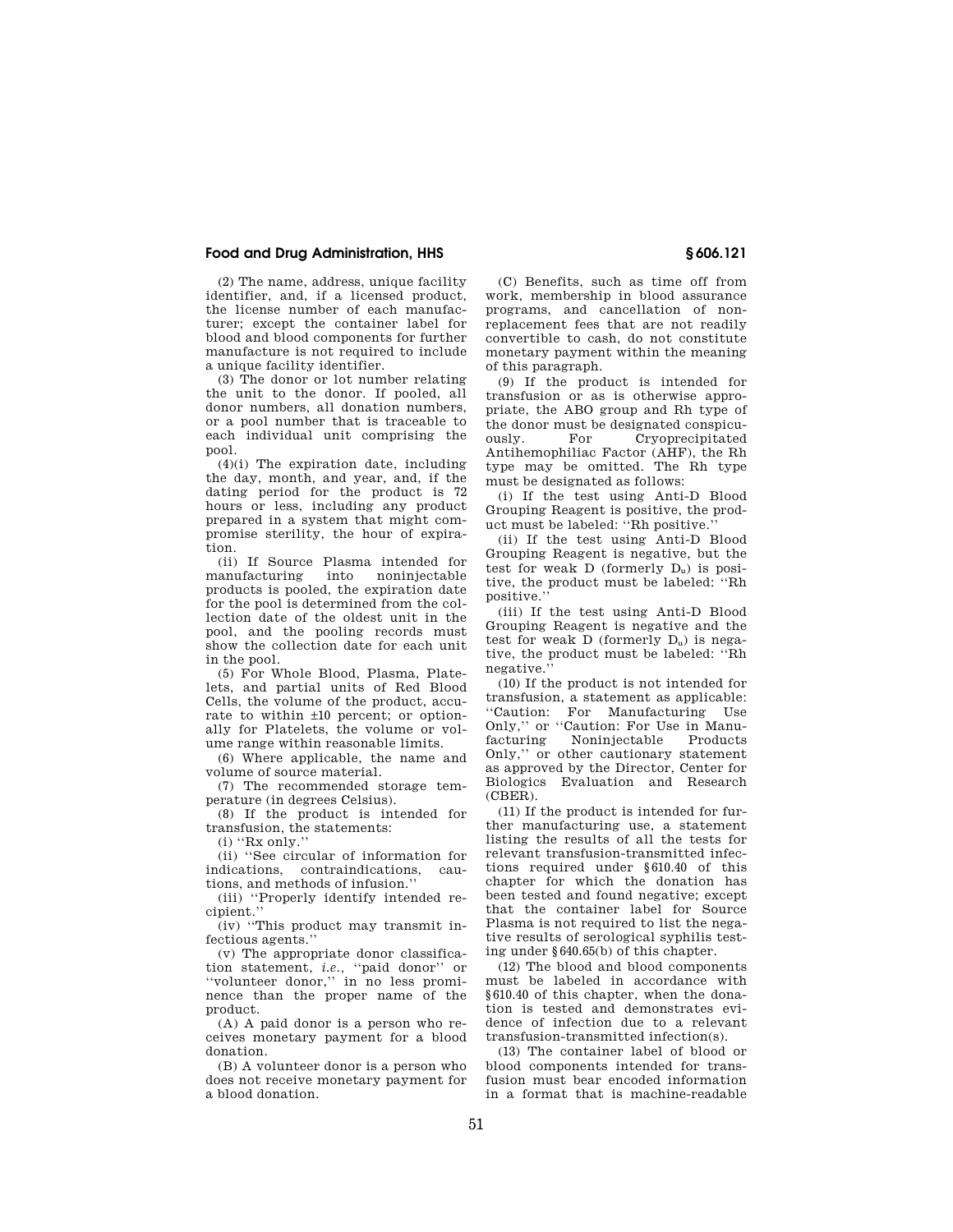(2) The name, address, unique facility identifier, and, if a licensed product, the license number of each manufacturer; except the container label for blood and blood components for further manufacture is not required to include a unique facility identifier.

(3) The donor or lot number relating the unit to the donor. If pooled, all donor numbers, all donation numbers, or a pool number that is traceable to each individual unit comprising the pool.

(4)(i) The expiration date, including the day, month, and year, and, if the dating period for the product is 72 hours or less, including any product prepared in a system that might compromise sterility, the hour of expiration.

(ii) If Source Plasma intended for manufacturing into noninjectable products is pooled, the expiration date for the pool is determined from the collection date of the oldest unit in the pool, and the pooling records must show the collection date for each unit in the pool.

(5) For Whole Blood, Plasma, Platelets, and partial units of Red Blood Cells, the volume of the product, accurate to within ±10 percent; or optionally for Platelets, the volume or volume range within reasonable limits.

(6) Where applicable, the name and volume of source material.

(7) The recommended storage temperature (in degrees Celsius).

(8) If the product is intended for transfusion, the statements:

 $(i)$  "Rx only."

(ii) ''See circular of information for indications, contraindications, cautions, and methods of infusion.''

(iii) ''Properly identify intended re-

cipient.'' (iv) ''This product may transmit in-

fectious agents.''

(v) The appropriate donor classification statement, *i.e.,* ''paid donor'' or ''volunteer donor,'' in no less prominence than the proper name of the product.

(A) A paid donor is a person who receives monetary payment for a blood donation.

(B) A volunteer donor is a person who does not receive monetary payment for a blood donation.

(C) Benefits, such as time off from work, membership in blood assurance programs, and cancellation of nonreplacement fees that are not readily convertible to cash, do not constitute monetary payment within the meaning of this paragraph.

(9) If the product is intended for transfusion or as is otherwise appropriate, the ABO group and Rh type of the donor must be designated conspicuously. For Cryoprecipitated Antihemophiliac Factor (AHF), the Rh type may be omitted. The Rh type must be designated as follows:

(i) If the test using Anti-D Blood Grouping Reagent is positive, the product must be labeled: ''Rh positive.''

(ii) If the test using Anti-D Blood Grouping Reagent is negative, but the test for weak D (formerly Du) is positive, the product must be labeled: ''Rh positive.''

(iii) If the test using Anti-D Blood Grouping Reagent is negative and the test for weak  $D$  (formerly  $D<sub>u</sub>$ ) is negative, the product must be labeled: ''Rh negative.''

(10) If the product is not intended for transfusion, a statement as applicable: ''Caution: For Manufacturing Use Only," or "Caution: For Use in Manu-<br>facturing Moniniectable Products Noninjectable Only,'' or other cautionary statement as approved by the Director, Center for Biologics Evaluation and Research (CBER).

(11) If the product is intended for further manufacturing use, a statement listing the results of all the tests for relevant transfusion-transmitted infections required under §610.40 of this chapter for which the donation has been tested and found negative; except that the container label for Source Plasma is not required to list the negative results of serological syphilis testing under §640.65(b) of this chapter.

(12) The blood and blood components must be labeled in accordance with §610.40 of this chapter, when the donation is tested and demonstrates evidence of infection due to a relevant transfusion-transmitted infection(s).

(13) The container label of blood or blood components intended for transfusion must bear encoded information in a format that is machine-readable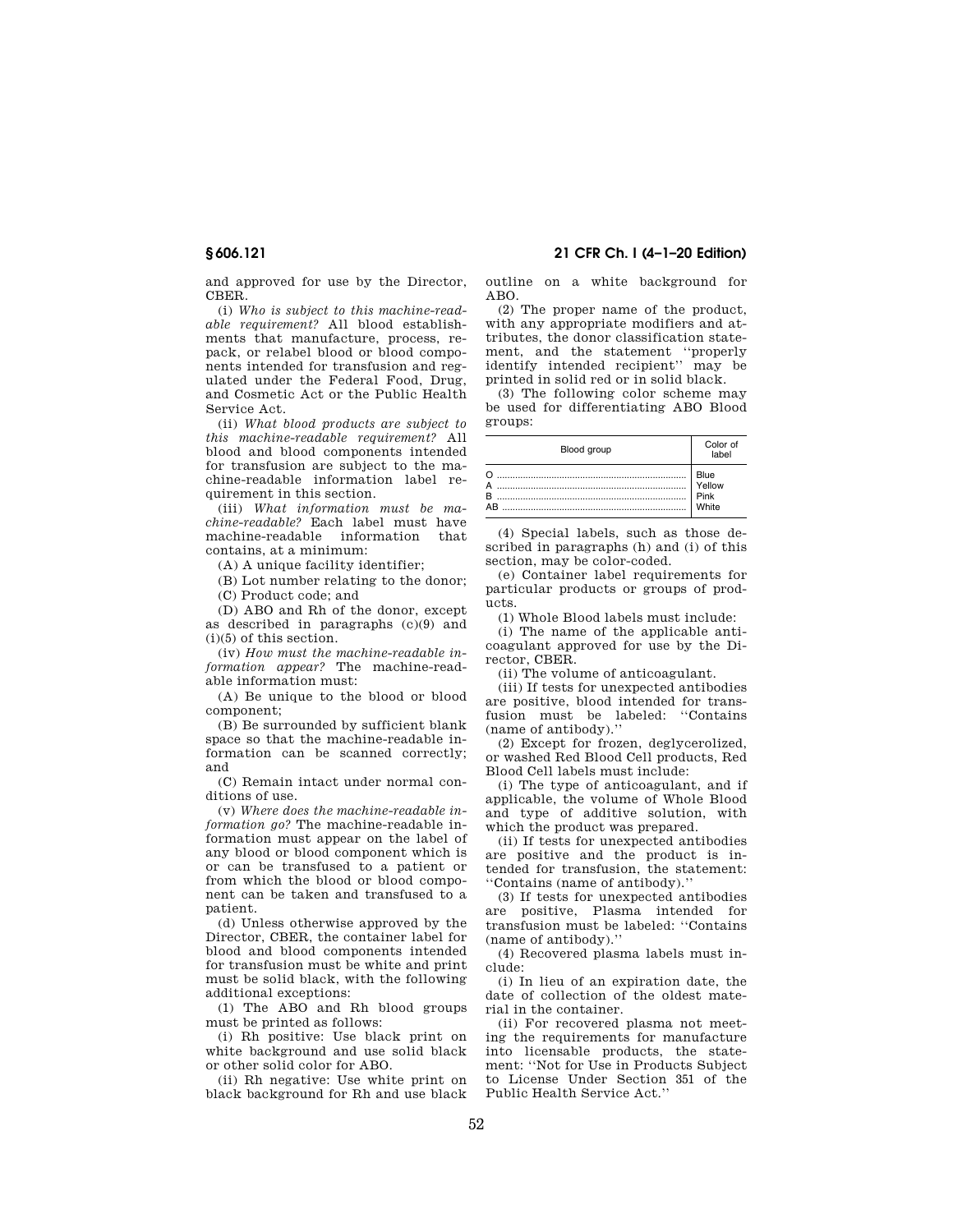and approved for use by the Director, CBER.

(i) *Who is subject to this machine-readable requirement?* All blood establishments that manufacture, process, repack, or relabel blood or blood components intended for transfusion and regulated under the Federal Food, Drug, and Cosmetic Act or the Public Health Service Act.

(ii) *What blood products are subject to this machine-readable requirement?* All blood and blood components intended for transfusion are subject to the machine-readable information label requirement in this section.

(iii) *What information must be machine-readable?* Each label must have machine-readable information that contains, at a minimum:

(A) A unique facility identifier;

(B) Lot number relating to the donor;

(C) Product code; and

(D) ABO and Rh of the donor, except as described in paragraphs (c)(9) and (i)(5) of this section.

(iv) *How must the machine-readable information appear?* The machine-readable information must:

(A) Be unique to the blood or blood component;

(B) Be surrounded by sufficient blank space so that the machine-readable information can be scanned correctly; and

(C) Remain intact under normal conditions of use.

(v) *Where does the machine-readable information go?* The machine-readable information must appear on the label of any blood or blood component which is or can be transfused to a patient or from which the blood or blood component can be taken and transfused to a patient.

(d) Unless otherwise approved by the Director, CBER, the container label for blood and blood components intended for transfusion must be white and print must be solid black, with the following additional exceptions:

(1) The ABO and Rh blood groups must be printed as follows:

(i) Rh positive: Use black print on white background and use solid black or other solid color for ABO.

(ii) Rh negative: Use white print on black background for Rh and use black outline on a white background for  $ABO$ 

(2) The proper name of the product, with any appropriate modifiers and attributes, the donor classification statement, and the statement ''properly identify intended recipient'' may be printed in solid red or in solid black.

(3) The following color scheme may be used for differentiating ABO Blood groups:

| Blood group | Color of<br>lahel |
|-------------|-------------------|
|             | Blue              |
|             | Yellow            |
| ΔR          | Pink              |
|             | White             |

(4) Special labels, such as those described in paragraphs (h) and (i) of this section, may be color-coded.

(e) Container label requirements for particular products or groups of products.

(1) Whole Blood labels must include:

(i) The name of the applicable anticoagulant approved for use by the Director, CBER.

(ii) The volume of anticoagulant.

(iii) If tests for unexpected antibodies are positive, blood intended for transfusion must be labeled: ''Contains (name of antibody).''

(2) Except for frozen, deglycerolized, or washed Red Blood Cell products, Red Blood Cell labels must include:

(i) The type of anticoagulant, and if applicable, the volume of Whole Blood and type of additive solution, with which the product was prepared.

(ii) If tests for unexpected antibodies are positive and the product is intended for transfusion, the statement: ''Contains (name of antibody).''

(3) If tests for unexpected antibodies are positive, Plasma intended for transfusion must be labeled: ''Contains (name of antibody).''

(4) Recovered plasma labels must include:

(i) In lieu of an expiration date, the date of collection of the oldest material in the container.

(ii) For recovered plasma not meeting the requirements for manufacture into licensable products, the statement: ''Not for Use in Products Subject to License Under Section 351 of the Public Health Service Act.''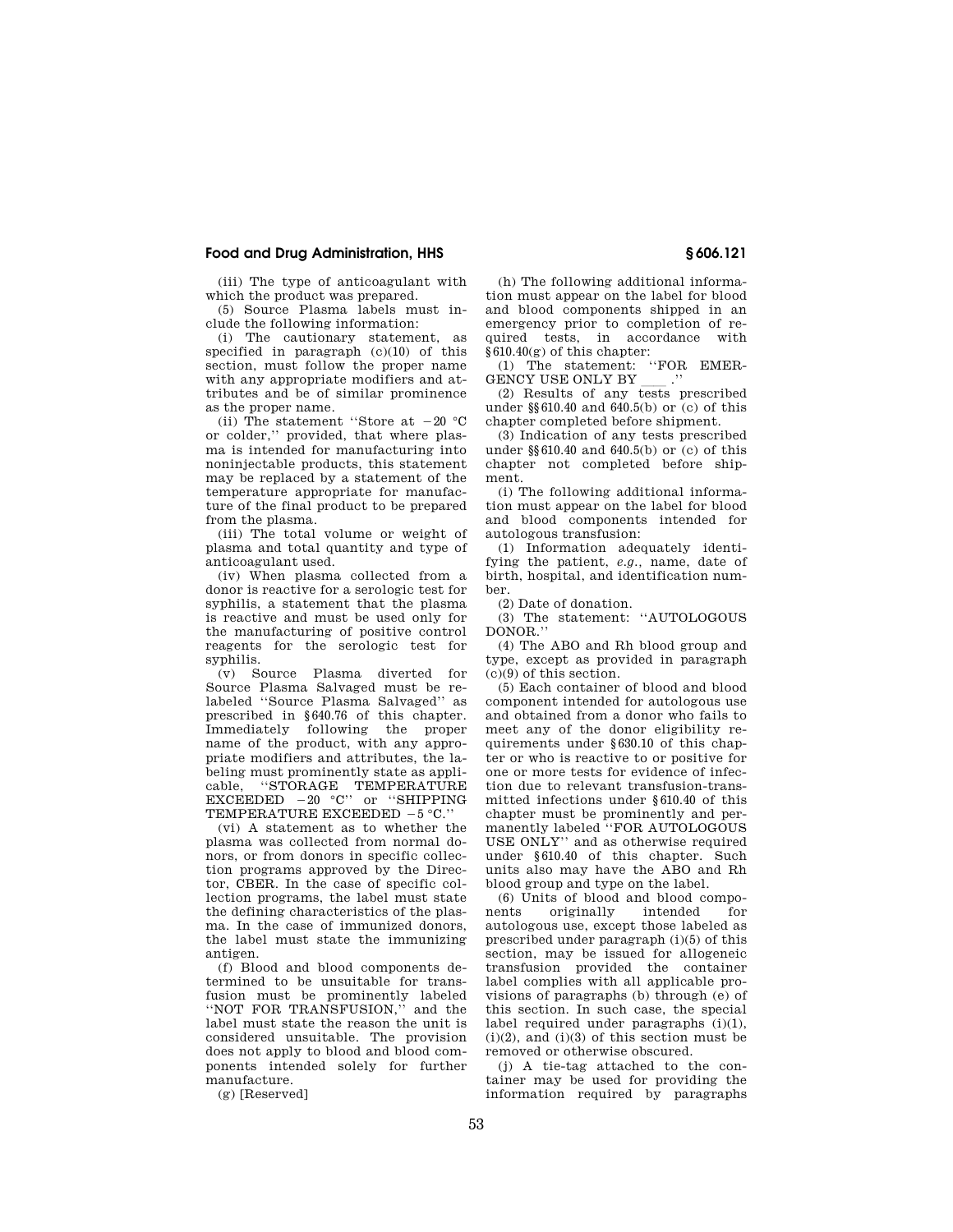(iii) The type of anticoagulant with which the product was prepared.

(5) Source Plasma labels must include the following information:

(i) The cautionary statement, as specified in paragraph (c)(10) of this section, must follow the proper name with any appropriate modifiers and attributes and be of similar prominence as the proper name.

(ii) The statement "Store at  $-20$  °C or colder,'' provided, that where plasma is intended for manufacturing into noninjectable products, this statement may be replaced by a statement of the temperature appropriate for manufacture of the final product to be prepared from the plasma.

(iii) The total volume or weight of plasma and total quantity and type of anticoagulant used.

(iv) When plasma collected from a donor is reactive for a serologic test for syphilis, a statement that the plasma is reactive and must be used only for the manufacturing of positive control reagents for the serologic test for syphilis.

(v) Source Plasma diverted for Source Plasma Salvaged must be relabeled ''Source Plasma Salvaged'' as prescribed in §640.76 of this chapter. Immediately following the proper name of the product, with any appropriate modifiers and attributes, the labeling must prominently state as applicable, ''STORAGE TEMPERATURE  $EXCEEDED -20^\circ C''$  or "SHIPPING TEMPERATURE EXCEEDED  $-5$  °C.''

(vi) A statement as to whether the plasma was collected from normal donors, or from donors in specific collection programs approved by the Director, CBER. In the case of specific collection programs, the label must state the defining characteristics of the plasma. In the case of immunized donors the label must state the immunizing antigen.

(f) Blood and blood components determined to be unsuitable for transfusion must be prominently labeled ''NOT FOR TRANSFUSION,'' and the label must state the reason the unit is considered unsuitable. The provision does not apply to blood and blood components intended solely for further manufacture.

(g) [Reserved]

(h) The following additional information must appear on the label for blood and blood components shipped in an emergency prior to completion of required tests, in accordance with §610.40(g) of this chapter:

(1) The statement: "FOR EMER-GENCY USE ONLY BY GENCY USE ONLY BY \_\_\_\_.''<br>(2) Results of any tests prescribed

under §§610.40 and 640.5(b) or (c) of this chapter completed before shipment.

(3) Indication of any tests prescribed under §§610.40 and 640.5(b) or (c) of this chapter not completed before shipment.

(i) The following additional information must appear on the label for blood and blood components intended for autologous transfusion:

(1) Information adequately identifying the patient, *e.g.,* name, date of birth, hospital, and identification number.

(2) Date of donation.

(3) The statement: ''AUTOLOGOUS DONOR.''

(4) The ABO and Rh blood group and type, except as provided in paragraph (c)(9) of this section.

(5) Each container of blood and blood component intended for autologous use and obtained from a donor who fails to meet any of the donor eligibility requirements under §630.10 of this chapter or who is reactive to or positive for one or more tests for evidence of infection due to relevant transfusion-transmitted infections under §610.40 of this chapter must be prominently and permanently labeled "FOR AUTOLOGOUS USE ONLY'' and as otherwise required under §610.40 of this chapter. Such units also may have the ABO and Rh blood group and type on the label.

(6) Units of blood and blood components originally intended for autologous use, except those labeled as prescribed under paragraph (i)(5) of this section, may be issued for allogeneic transfusion provided the container label complies with all applicable provisions of paragraphs (b) through (e) of this section. In such case, the special label required under paragraphs (i)(1),  $(i)(2)$ , and  $(i)(3)$  of this section must be removed or otherwise obscured.

(j) A tie-tag attached to the container may be used for providing the information required by paragraphs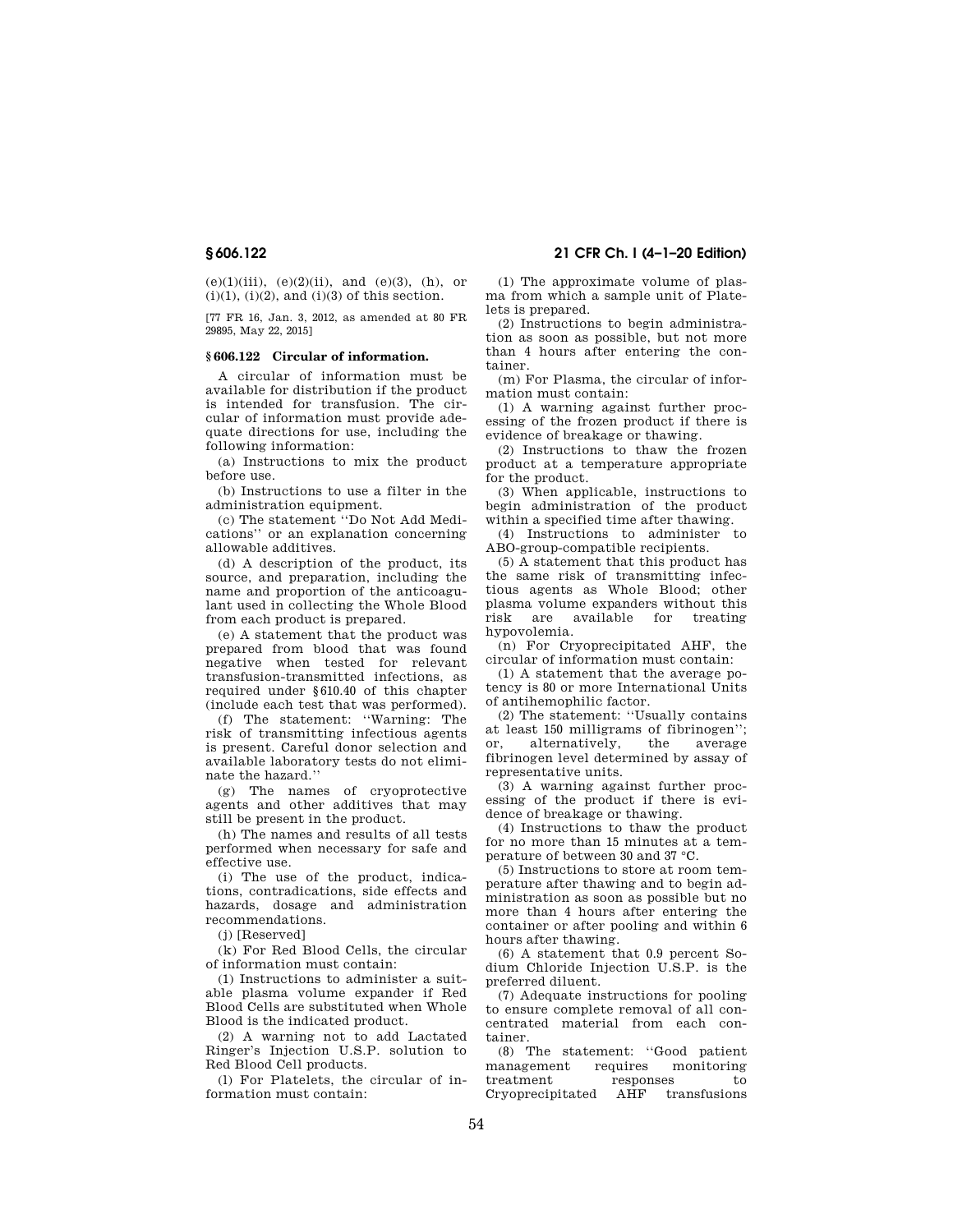$(e)(1)(iii)$ ,  $(e)(2)(ii)$ , and  $(e)(3)$ ,  $(h)$ , or  $(i)(1)$ ,  $(i)(2)$ , and  $(i)(3)$  of this section.

[77 FR 16, Jan. 3, 2012, as amended at 80 FR 29895, May 22, 2015]

## **§ 606.122 Circular of information.**

A circular of information must be available for distribution if the product is intended for transfusion. The circular of information must provide adequate directions for use, including the following information:

(a) Instructions to mix the product before use.

(b) Instructions to use a filter in the administration equipment.

(c) The statement ''Do Not Add Medications'' or an explanation concerning allowable additives.

(d) A description of the product, its source, and preparation, including the name and proportion of the anticoagulant used in collecting the Whole Blood from each product is prepared.

(e) A statement that the product was prepared from blood that was found negative when tested for relevant transfusion-transmitted infections, as required under §610.40 of this chapter (include each test that was performed).

(f) The statement: ''Warning: The risk of transmitting infectious agents is present. Careful donor selection and available laboratory tests do not eliminate the hazard.''

(g) The names of cryoprotective agents and other additives that may still be present in the product.

(h) The names and results of all tests performed when necessary for safe and effective use.

(i) The use of the product, indications, contradications, side effects and hazards, dosage and administration recommendations.

(j) [Reserved]

(k) For Red Blood Cells, the circular of information must contain:

(1) Instructions to administer a suitable plasma volume expander if Red Blood Cells are substituted when Whole Blood is the indicated product.

(2) A warning not to add Lactated Ringer's Injection U.S.P. solution to Red Blood Cell products.

(l) For Platelets, the circular of information must contain:

(1) The approximate volume of plasma from which a sample unit of Platelets is prepared.

(2) Instructions to begin administration as soon as possible, but not more than 4 hours after entering the container.

(m) For Plasma, the circular of information must contain:

(1) A warning against further processing of the frozen product if there is evidence of breakage or thawing.

(2) Instructions to thaw the frozen product at a temperature appropriate for the product.

(3) When applicable, instructions to begin administration of the product within a specified time after thawing.

(4) Instructions to administer to ABO-group-compatible recipients.

(5) A statement that this product has the same risk of transmitting infectious agents as Whole Blood; other plasma volume expanders without this risk are available for treating hypovolemia.

(n) For Cryoprecipitated AHF, the circular of information must contain:

(1) A statement that the average potency is 80 or more International Units of antihemophilic factor.

(2) The statement: ''Usually contains at least 150 milligrams of fibrinogen''; or, alternatively, the average fibrinogen level determined by assay of representative units.

(3) A warning against further processing of the product if there is evidence of breakage or thawing.

(4) Instructions to thaw the product for no more than 15 minutes at a temperature of between 30 and 37 °C.

(5) Instructions to store at room temperature after thawing and to begin administration as soon as possible but no more than 4 hours after entering the container or after pooling and within 6 hours after thawing.

(6) A statement that 0.9 percent Sodium Chloride Injection U.S.P. is the preferred diluent.

(7) Adequate instructions for pooling to ensure complete removal of all concentrated material from each container.

(8) The statement: ''Good patient management requires monitoring treatment responses to<br>Cryoprecipitated AHF transfusions Cryoprecipitated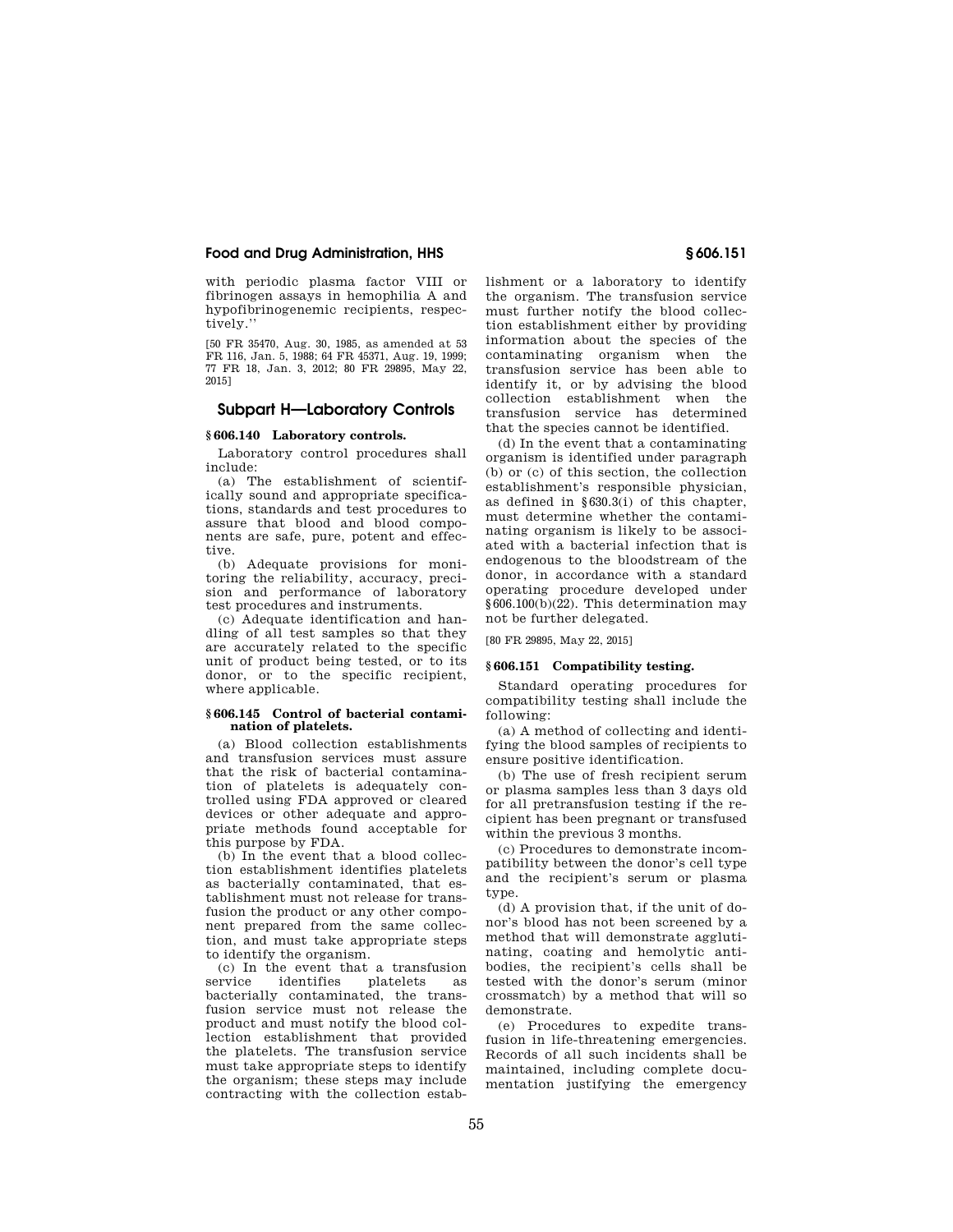with periodic plasma factor VIII or fibrinogen assays in hemophilia A and hypofibrinogenemic recipients, respectively.''

[50 FR 35470, Aug. 30, 1985, as amended at 53 FR 116, Jan. 5, 1988; 64 FR 45371, Aug. 19, 1999; 77 FR 18, Jan. 3, 2012; 80 FR 29895, May 22, 2015]

# **Subpart H—Laboratory Controls**

# **§ 606.140 Laboratory controls.**

Laboratory control procedures shall include:

(a) The establishment of scientifically sound and appropriate specifications, standards and test procedures to assure that blood and blood components are safe, pure, potent and effective.

(b) Adequate provisions for monitoring the reliability, accuracy, precision and performance of laboratory test procedures and instruments.

(c) Adequate identification and handling of all test samples so that they are accurately related to the specific unit of product being tested, or to its donor, or to the specific recipient, where applicable.

## **§ 606.145 Control of bacterial contamination of platelets.**

(a) Blood collection establishments and transfusion services must assure that the risk of bacterial contamination of platelets is adequately controlled using FDA approved or cleared devices or other adequate and appropriate methods found acceptable for this purpose by FDA.

(b) In the event that a blood collection establishment identifies platelets as bacterially contaminated, that establishment must not release for transfusion the product or any other component prepared from the same collection, and must take appropriate steps to identify the organism.

(c) In the event that a transfusion platelets as bacterially contaminated, the transfusion service must not release the product and must notify the blood collection establishment that provided the platelets. The transfusion service must take appropriate steps to identify the organism; these steps may include contracting with the collection establishment or a laboratory to identify the organism. The transfusion service must further notify the blood collection establishment either by providing information about the species of the contaminating organism when the transfusion service has been able to identify it, or by advising the blood collection establishment when the transfusion service has determined that the species cannot be identified.

(d) In the event that a contaminating organism is identified under paragraph (b) or (c) of this section, the collection establishment's responsible physician, as defined in §630.3(i) of this chapter, must determine whether the contaminating organism is likely to be associated with a bacterial infection that is endogenous to the bloodstream of the donor, in accordance with a standard operating procedure developed under §606.100(b)(22). This determination may not be further delegated.

[80 FR 29895, May 22, 2015]

## **§ 606.151 Compatibility testing.**

Standard operating procedures for compatibility testing shall include the following:

(a) A method of collecting and identifying the blood samples of recipients to ensure positive identification.

(b) The use of fresh recipient serum or plasma samples less than 3 days old for all pretransfusion testing if the recipient has been pregnant or transfused within the previous 3 months.

(c) Procedures to demonstrate incompatibility between the donor's cell type and the recipient's serum or plasma type.

(d) A provision that, if the unit of donor's blood has not been screened by a method that will demonstrate agglutinating, coating and hemolytic antibodies, the recipient's cells shall be tested with the donor's serum (minor crossmatch) by a method that will so demonstrate.

(e) Procedures to expedite transfusion in life-threatening emergencies. Records of all such incidents shall be maintained, including complete documentation justifying the emergency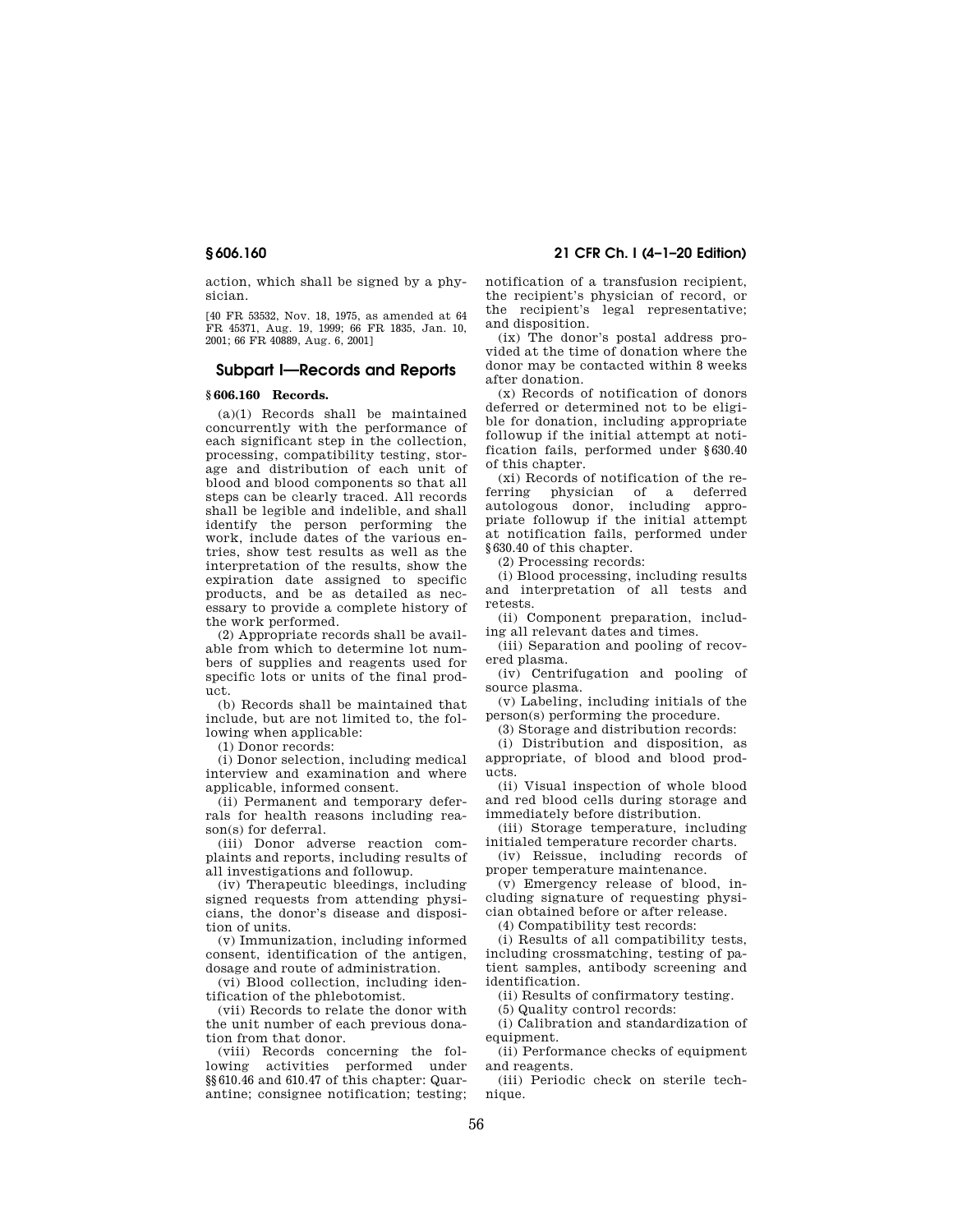action, which shall be signed by a physician.

[40 FR 53532, Nov. 18, 1975, as amended at 64 FR 45371, Aug. 19, 1999; 66 FR 1835, Jan. 10, 2001; 66 FR 40889, Aug. 6, 2001]

# **Subpart I—Records and Reports**

## **§ 606.160 Records.**

(a)(1) Records shall be maintained concurrently with the performance of each significant step in the collection, processing, compatibility testing, storage and distribution of each unit of blood and blood components so that all steps can be clearly traced. All records shall be legible and indelible, and shall identify the person performing the work, include dates of the various entries, show test results as well as the interpretation of the results, show the expiration date assigned to specific products, and be as detailed as necessary to provide a complete history of the work performed.

(2) Appropriate records shall be available from which to determine lot numbers of supplies and reagents used for specific lots or units of the final product.

(b) Records shall be maintained that include, but are not limited to, the following when applicable:

(1) Donor records:

(i) Donor selection, including medical interview and examination and where applicable, informed consent.

(ii) Permanent and temporary deferrals for health reasons including reason(s) for deferral.

(iii) Donor adverse reaction complaints and reports, including results of all investigations and followup.

(iv) Therapeutic bleedings, including signed requests from attending physicians, the donor's disease and disposition of units.

(v) Immunization, including informed consent, identification of the antigen, dosage and route of administration.

(vi) Blood collection, including identification of the phlebotomist.

(vii) Records to relate the donor with the unit number of each previous donation from that donor.

(viii) Records concerning the following activities performed under §§610.46 and 610.47 of this chapter: Quarantine; consignee notification; testing;

**§ 606.160 21 CFR Ch. I (4–1–20 Edition)** 

notification of a transfusion recipient, the recipient's physician of record, or the recipient's legal representative; and disposition.

(ix) The donor's postal address provided at the time of donation where the donor may be contacted within 8 weeks after donation.

(x) Records of notification of donors deferred or determined not to be eligible for donation, including appropriate followup if the initial attempt at notification fails, performed under §630.40 of this chapter.

(xi) Records of notification of the referring physician of a deferred autologous donor, including appropriate followup if the initial attempt at notification fails, performed under §630.40 of this chapter.

(2) Processing records:

(i) Blood processing, including results and interpretation of all tests and retests.

(ii) Component preparation, including all relevant dates and times.

(iii) Separation and pooling of recovered plasma.

(iv) Centrifugation and pooling of source plasma.

(v) Labeling, including initials of the person(s) performing the procedure.

(3) Storage and distribution records:

(i) Distribution and disposition, as appropriate, of blood and blood products.

(ii) Visual inspection of whole blood and red blood cells during storage and immediately before distribution.

(iii) Storage temperature, including initialed temperature recorder charts.

(iv) Reissue, including records of proper temperature maintenance.

(v) Emergency release of blood, including signature of requesting physician obtained before or after release.

(4) Compatibility test records:

(i) Results of all compatibility tests, including crossmatching, testing of patient samples, antibody screening and identification.

(ii) Results of confirmatory testing.

(5) Quality control records:

(i) Calibration and standardization of equipment.

(ii) Performance checks of equipment and reagents.

(iii) Periodic check on sterile technique.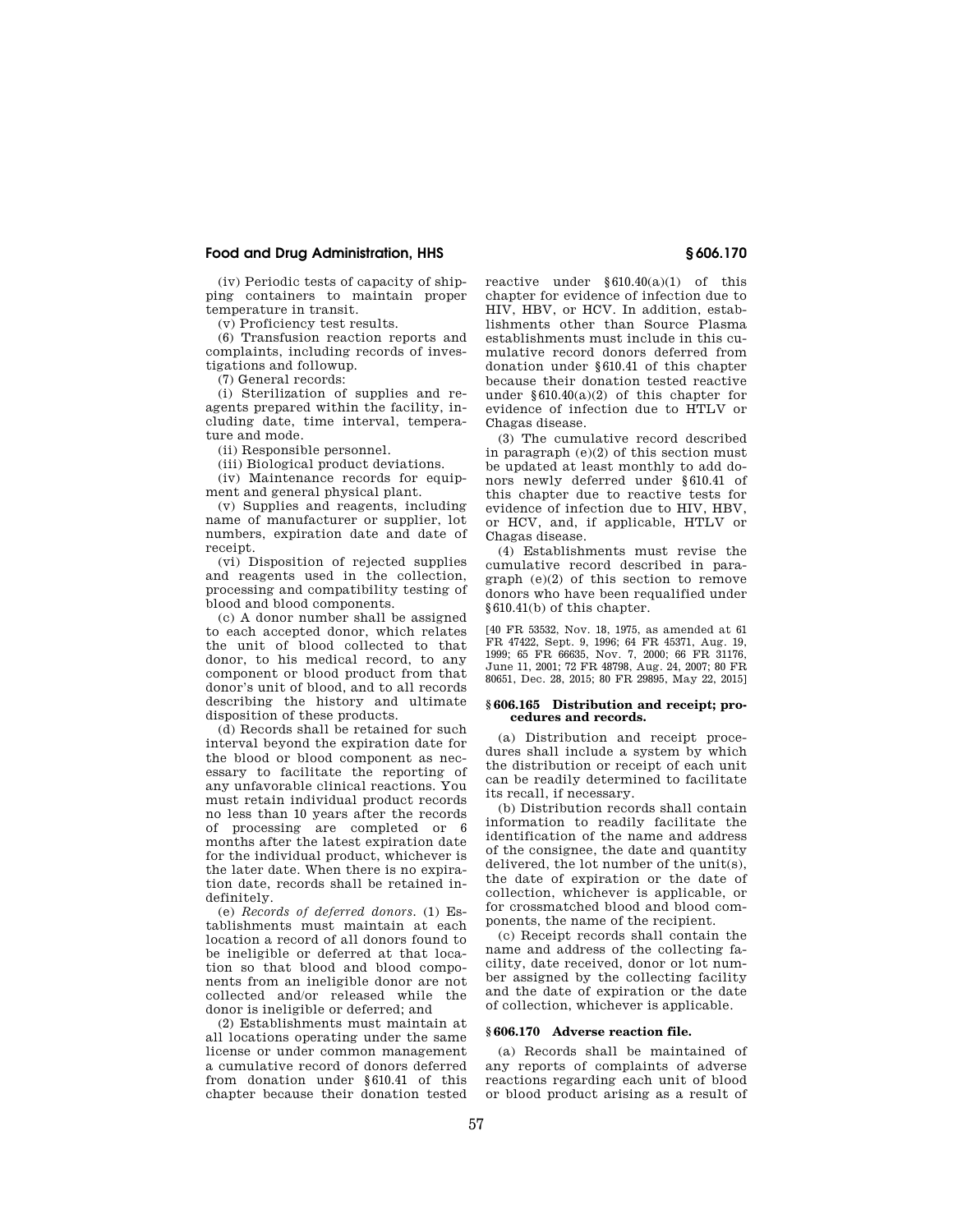(iv) Periodic tests of capacity of shipping containers to maintain proper temperature in transit.

(v) Proficiency test results.

(6) Transfusion reaction reports and complaints, including records of investigations and followup.

(7) General records:

(i) Sterilization of supplies and reagents prepared within the facility, including date, time interval, temperature and mode.

(ii) Responsible personnel.

(iii) Biological product deviations.

 $(iv)$  Maintenance records for equipment and general physical plant.

(v) Supplies and reagents, including name of manufacturer or supplier, lot numbers, expiration date and date of receipt.

(vi) Disposition of rejected supplies and reagents used in the collection, processing and compatibility testing of blood and blood components.

(c) A donor number shall be assigned to each accepted donor, which relates the unit of blood collected to that donor, to his medical record, to any component or blood product from that donor's unit of blood, and to all records describing the history and ultimate disposition of these products.

(d) Records shall be retained for such interval beyond the expiration date for the blood or blood component as necessary to facilitate the reporting of any unfavorable clinical reactions. You must retain individual product records no less than 10 years after the records of processing are completed or 6 months after the latest expiration date for the individual product, whichever is the later date. When there is no expiration date, records shall be retained indefinitely.

(e) *Records of deferred donors.* (1) Establishments must maintain at each location a record of all donors found to be ineligible or deferred at that location so that blood and blood components from an ineligible donor are not collected and/or released while the donor is ineligible or deferred; and

(2) Establishments must maintain at all locations operating under the same license or under common management a cumulative record of donors deferred from donation under §610.41 of this chapter because their donation tested

reactive under §610.40(a)(1) of this chapter for evidence of infection due to HIV, HBV, or HCV. In addition, establishments other than Source Plasma establishments must include in this cumulative record donors deferred from donation under §610.41 of this chapter because their donation tested reactive under  $§610.40(a)(2)$  of this chapter for evidence of infection due to HTLV or Chagas disease.

(3) The cumulative record described in paragraph (e)(2) of this section must be updated at least monthly to add donors newly deferred under §610.41 of this chapter due to reactive tests for evidence of infection due to HIV, HBV, or HCV, and, if applicable, HTLV or Chagas disease.

(4) Establishments must revise the cumulative record described in paragraph (e)(2) of this section to remove donors who have been requalified under §610.41(b) of this chapter.

[40 FR 53532, Nov. 18, 1975, as amended at 61 FR 47422, Sept. 9, 1996; 64 FR 45371, Aug. 19, 1999; 65 FR 66635, Nov. 7, 2000; 66 FR 31176, June 11, 2001; 72 FR 48798, Aug. 24, 2007; 80 FR 80651, Dec. 28, 2015; 80 FR 29895, May 22, 2015]

#### **§ 606.165 Distribution and receipt; procedures and records.**

(a) Distribution and receipt procedures shall include a system by which the distribution or receipt of each unit can be readily determined to facilitate its recall, if necessary.

(b) Distribution records shall contain information to readily facilitate the identification of the name and address of the consignee, the date and quantity delivered, the lot number of the unit(s), the date of expiration or the date of collection, whichever is applicable, or for crossmatched blood and blood components, the name of the recipient.

(c) Receipt records shall contain the name and address of the collecting facility, date received, donor or lot number assigned by the collecting facility and the date of expiration or the date of collection, whichever is applicable.

## **§ 606.170 Adverse reaction file.**

(a) Records shall be maintained of any reports of complaints of adverse reactions regarding each unit of blood or blood product arising as a result of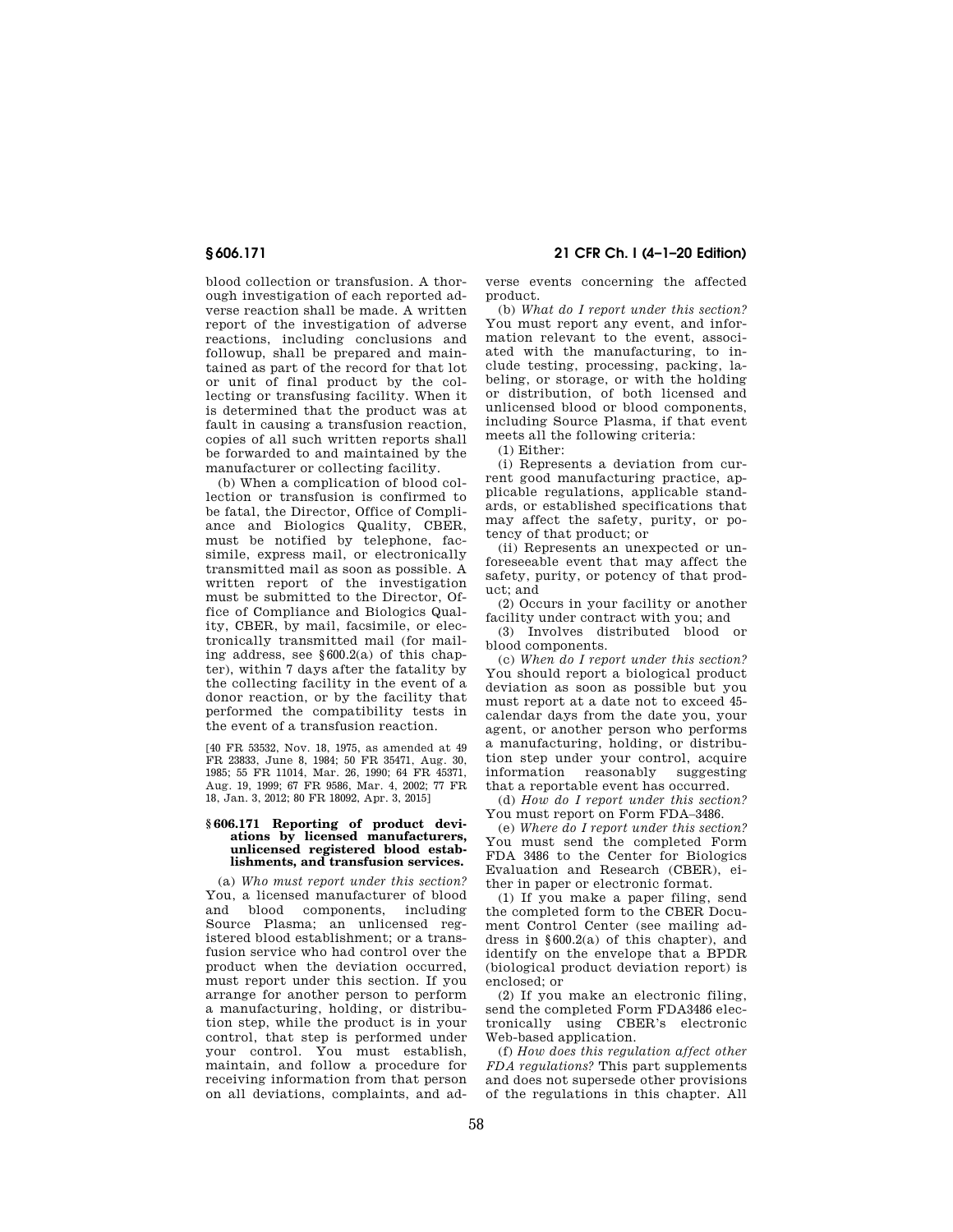**§ 606.171 21 CFR Ch. I (4–1–20 Edition)** 

blood collection or transfusion. A thorough investigation of each reported adverse reaction shall be made. A written report of the investigation of adverse reactions, including conclusions and followup, shall be prepared and maintained as part of the record for that lot or unit of final product by the collecting or transfusing facility. When it is determined that the product was at fault in causing a transfusion reaction, copies of all such written reports shall be forwarded to and maintained by the manufacturer or collecting facility.

(b) When a complication of blood collection or transfusion is confirmed to be fatal, the Director, Office of Compliance and Biologics Quality, CBER, must be notified by telephone, facsimile, express mail, or electronically transmitted mail as soon as possible. A written report of the investigation must be submitted to the Director, Office of Compliance and Biologics Quality, CBER, by mail, facsimile, or electronically transmitted mail (for mailing address, see  $§600.2(a)$  of this chapter), within 7 days after the fatality by the collecting facility in the event of a donor reaction, or by the facility that performed the compatibility tests in the event of a transfusion reaction.

[40 FR 53532, Nov. 18, 1975, as amended at 49 FR 23833, June 8, 1984; 50 FR 35471, Aug. 30, 1985; 55 FR 11014, Mar. 26, 1990; 64 FR 45371, Aug. 19, 1999; 67 FR 9586, Mar. 4, 2002; 77 FR 18, Jan. 3, 2012; 80 FR 18092, Apr. 3, 2015]

### **§ 606.171 Reporting of product deviations by licensed manufacturers, unlicensed registered blood establishments, and transfusion services.**

(a) *Who must report under this section?*  You, a licensed manufacturer of blood and blood components, including Source Plasma; an unlicensed registered blood establishment; or a transfusion service who had control over the product when the deviation occurred, must report under this section. If you arrange for another person to perform a manufacturing, holding, or distribution step, while the product is in your control, that step is performed under your control. You must establish, maintain, and follow a procedure for receiving information from that person on all deviations, complaints, and adverse events concerning the affected product.

(b) *What do I report under this section?*  You must report any event, and information relevant to the event, associated with the manufacturing, to include testing, processing, packing, labeling, or storage, or with the holding or distribution, of both licensed and unlicensed blood or blood components, including Source Plasma, if that event meets all the following criteria:

(1) Either:

(i) Represents a deviation from current good manufacturing practice, applicable regulations, applicable standards, or established specifications that may affect the safety, purity, or potency of that product; or

(ii) Represents an unexpected or unforeseeable event that may affect the safety, purity, or potency of that product; and

(2) Occurs in your facility or another facility under contract with you; and

(3) Involves distributed blood or blood components.

(c) *When do I report under this section?*  You should report a biological product deviation as soon as possible but you must report at a date not to exceed 45 calendar days from the date you, your agent, or another person who performs a manufacturing, holding, or distribution step under your control, acquire information reasonably suggesting that a reportable event has occurred.

(d) *How do I report under this section?*  You must report on Form FDA–3486.

(e) *Where do I report under this section?*  You must send the completed Form FDA 3486 to the Center for Biologics Evaluation and Research (CBER), either in paper or electronic format.

(1) If you make a paper filing, send the completed form to the CBER Document Control Center (see mailing address in §600.2(a) of this chapter), and identify on the envelope that a BPDR (biological product deviation report) is enclosed; or

(2) If you make an electronic filing, send the completed Form FDA3486 electronically using CBER's electronic Web-based application.

(f) *How does this regulation affect other FDA regulations?* This part supplements and does not supersede other provisions of the regulations in this chapter. All